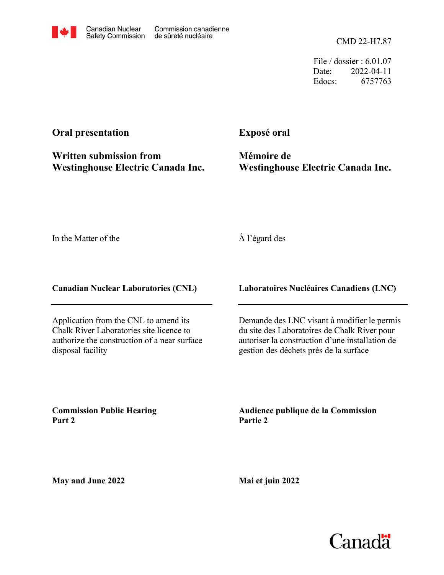File / dossier : 6.01.07 Date: 2022-04-11 Edocs: 6757763

## **Oral presentation**

**Written submission from Westinghouse Electric Canada Inc.** **Exposé oral**

**Mémoire de Westinghouse Electric Canada Inc.**

In the Matter of the

## À l'égard des

**Canadian Nuclear Laboratories (CNL)**

Application from the CNL to amend its Chalk River Laboratories site licence to authorize the construction of a near surface disposal facility

**Laboratoires Nucléaires Canadiens (LNC)**

Demande des LNC visant à modifier le permis du site des Laboratoires de Chalk River pour autoriser la construction d'une installation de gestion des déchets près de la surface

**Commission Public Hearing Part 2**

**Audience publique de la Commission Partie 2**

**May and June 2022**

**Mai et juin 2022**

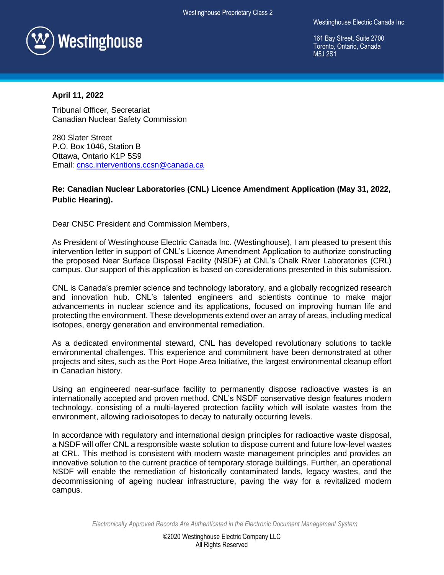

Westinghouse Electric Canada Inc.

161 Bay Street, Suite 2700 Toronto, Ontario, Canada M<sub>5</sub>.1 2S<sub>1</sub>

## **April 11, 2022**

Tribunal Officer, Secretariat Canadian Nuclear Safety Commission

280 Slater Street P.O. Box 1046, Station B Ottawa, Ontario K1P 5S9 Email: [cnsc.interventions.ccsn@canada.ca](mailto:cnsc.interventions.ccsn@canada.ca)

## **Re: Canadian Nuclear Laboratories (CNL) Licence Amendment Application (May 31, 2022, Public Hearing).**

Dear CNSC President and Commission Members,

As President of Westinghouse Electric Canada Inc. (Westinghouse), I am pleased to present this intervention letter in support of CNL's Licence Amendment Application to authorize constructing the proposed Near Surface Disposal Facility (NSDF) at CNL's Chalk River Laboratories (CRL) campus. Our support of this application is based on considerations presented in this submission.

CNL is Canada's premier science and technology laboratory, and a globally recognized research and innovation hub. CNL's talented engineers and scientists continue to make major advancements in nuclear science and its applications, focused on improving human life and protecting the environment. These developments extend over an array of areas, including medical isotopes, energy generation and environmental remediation.

As a dedicated environmental steward, CNL has developed revolutionary solutions to tackle environmental challenges. This experience and commitment have been demonstrated at other projects and sites, such as the Port Hope Area Initiative, the largest environmental cleanup effort in Canadian history.

Using an engineered near-surface facility to permanently dispose radioactive wastes is an internationally accepted and proven method. CNL's NSDF conservative design features modern technology, consisting of a multi-layered protection facility which will isolate wastes from the environment, allowing radioisotopes to decay to naturally occurring levels.

In accordance with regulatory and international design principles for radioactive waste disposal, a NSDF will offer CNL a responsible waste solution to dispose current and future low-level wastes at CRL. This method is consistent with modern waste management principles and provides an innovative solution to the current practice of temporary storage buildings. Further, an operational NSDF will enable the remediation of historically contaminated lands, legacy wastes, and the decommissioning of ageing nuclear infrastructure, paving the way for a revitalized modern campus.

*Electronically Approved Records Are Authenticated in the Electronic Document Management System*

©2020 Westinghouse Electric Company LLC All Rights Reserved